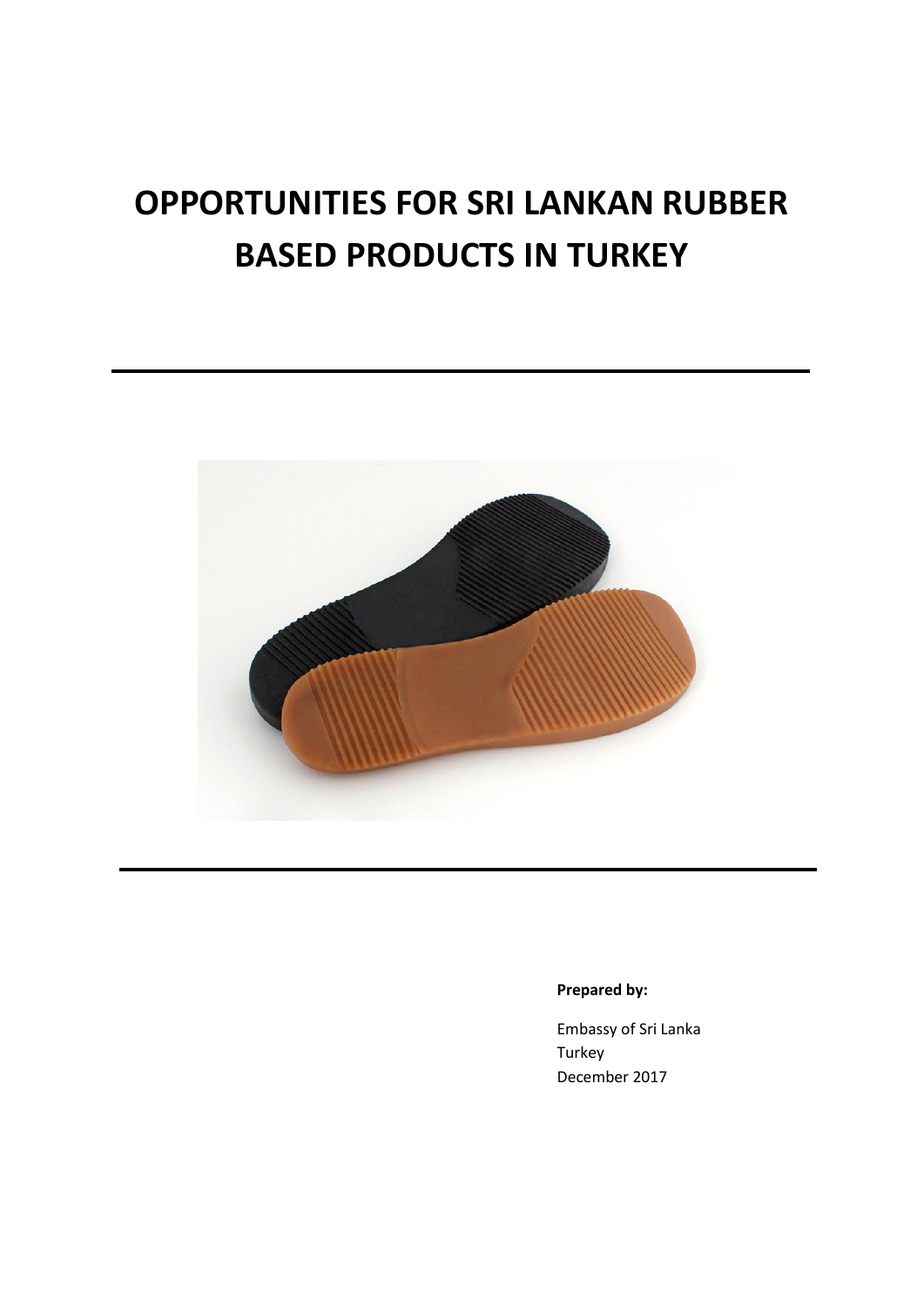# **OPPORTUNITIES FOR SRI LANKAN RUBBER BASED PRODUCTS IN TURKEY**



## **Prepared by:**

Embassy of Sri Lanka Turkey December 2017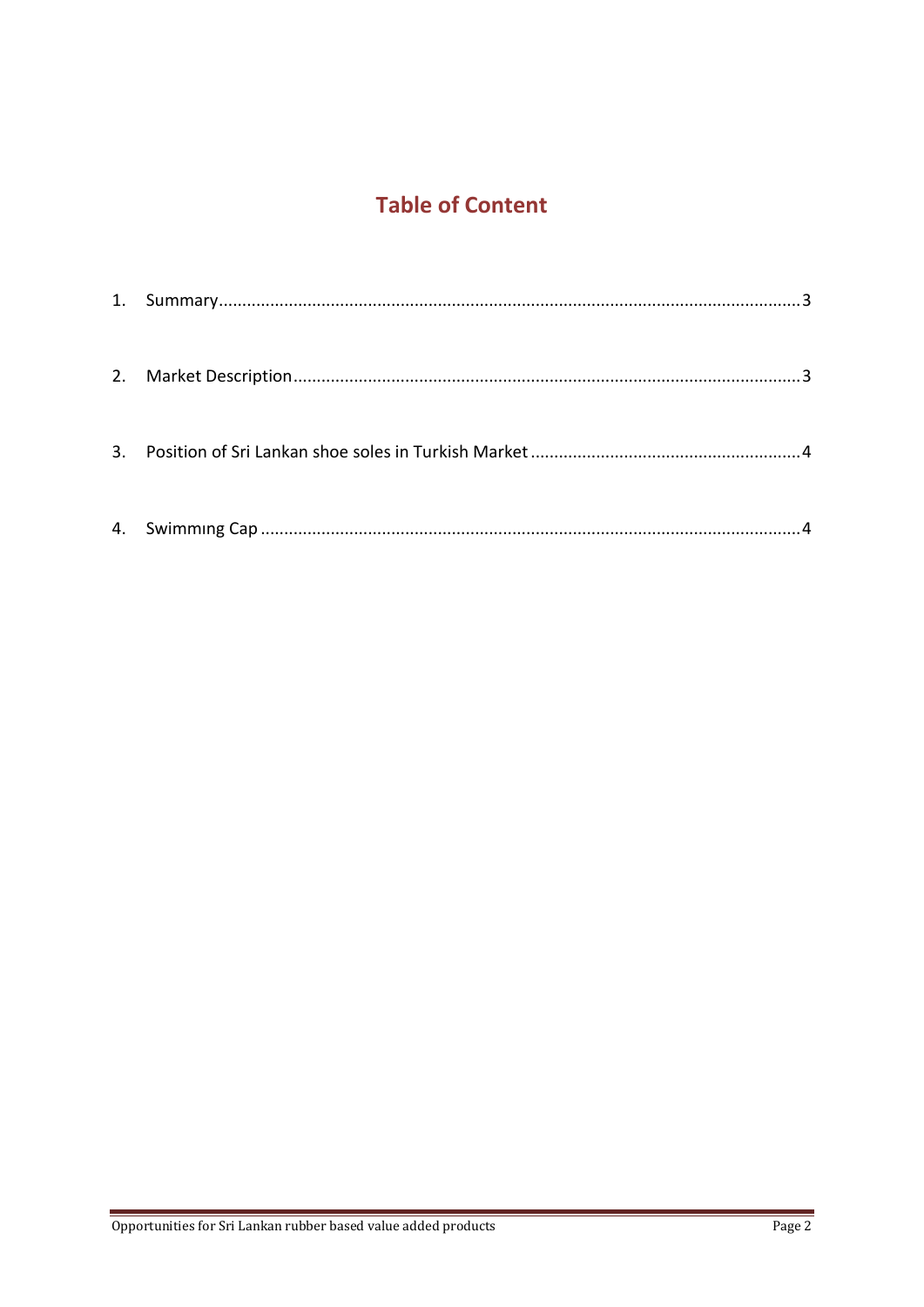## **Table of Content**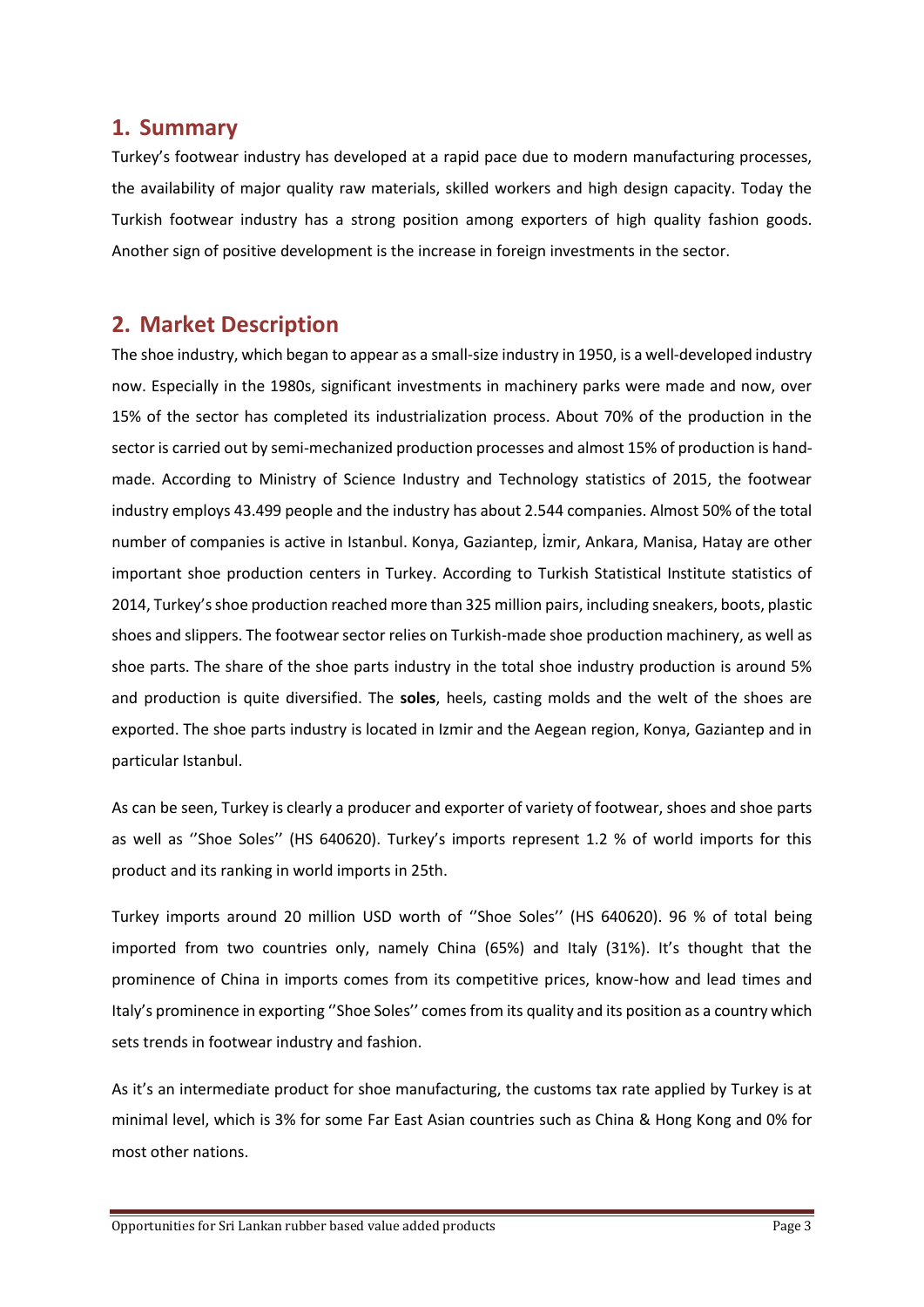## **1. Summary**

Turkey's footwear industry has developed at a rapid pace due to modern manufacturing processes, the availability of major quality raw materials, skilled workers and high design capacity. Today the Turkish footwear industry has a strong position among exporters of high quality fashion goods. Another sign of positive development is the increase in foreign investments in the sector.

## **2. Market Description**

The shoe industry, which began to appear as a small-size industry in 1950, is a well-developed industry now. Especially in the 1980s, significant investments in machinery parks were made and now, over 15% of the sector has completed its industrialization process. About 70% of the production in the sector is carried out by semi-mechanized production processes and almost 15% of production is handmade. According to Ministry of Science Industry and Technology statistics of 2015, the footwear industry employs 43.499 people and the industry has about 2.544 companies. Almost 50% of the total number of companies is active in Istanbul. Konya, Gaziantep, İzmir, Ankara, Manisa, Hatay are other important shoe production centers in Turkey. According to Turkish Statistical Institute statistics of 2014, Turkey's shoe production reached more than 325 million pairs, including sneakers, boots, plastic shoes and slippers. The footwear sector relies on Turkish-made shoe production machinery, as well as shoe parts. The share of the shoe parts industry in the total shoe industry production is around 5% and production is quite diversified. The **soles**, heels, casting molds and the welt of the shoes are exported. The shoe parts industry is located in Izmir and the Aegean region, Konya, Gaziantep and in particular Istanbul.

As can be seen, Turkey is clearly a producer and exporter of variety of footwear, shoes and shoe parts as well as "Shoe Soles" (HS 640620). Turkey's imports represent 1.2 % of world imports for this product and its ranking in world imports in 25th.

Turkey imports around 20 million USD worth of ''Shoe Soles'' (HS 640620). 96 % of total being imported from two countries only, namely China (65%) and Italy (31%). It's thought that the prominence of China in imports comes from its competitive prices, know-how and lead times and Italy's prominence in exporting ''Shoe Soles'' comes from its quality and its position as a country which sets trends in footwear industry and fashion.

As it's an intermediate product for shoe manufacturing, the customs tax rate applied by Turkey is at minimal level, which is 3% for some Far East Asian countries such as China & Hong Kong and 0% for most other nations.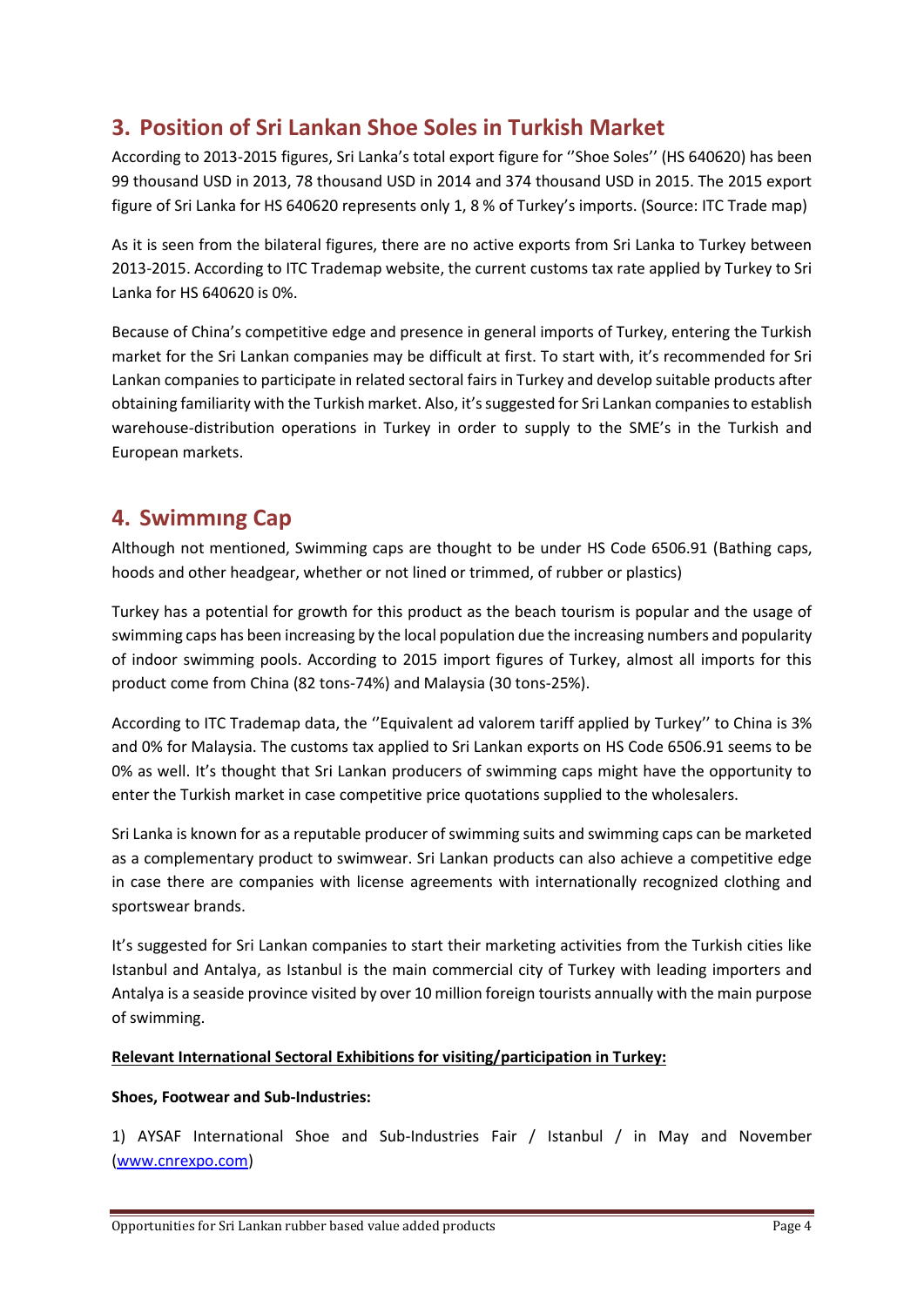## **3. Position of Sri Lankan Shoe Soles in Turkish Market**

According to 2013-2015 figures, Sri Lanka's total export figure for ''Shoe Soles'' (HS 640620) has been 99 thousand USD in 2013, 78 thousand USD in 2014 and 374 thousand USD in 2015. The 2015 export figure of Sri Lanka for HS 640620 represents only 1, 8 % of Turkey's imports. (Source: ITC Trade map)

As it is seen from the bilateral figures, there are no active exports from Sri Lanka to Turkey between 2013-2015. According to ITC Trademap website, the current customs tax rate applied by Turkey to Sri Lanka for HS 640620 is 0%.

Because of China's competitive edge and presence in general imports of Turkey, entering the Turkish market for the Sri Lankan companies may be difficult at first. To start with, it's recommended for Sri Lankan companies to participate in related sectoral fairs in Turkey and develop suitable products after obtaining familiarity with the Turkish market. Also, it's suggested for Sri Lankan companies to establish warehouse-distribution operations in Turkey in order to supply to the SME's in the Turkish and European markets.

## **4. Swimmıng Cap**

Although not mentioned, Swimming caps are thought to be under HS Code 6506.91 (Bathing caps, hoods and other headgear, whether or not lined or trimmed, of rubber or plastics)

Turkey has a potential for growth for this product as the beach tourism is popular and the usage of swimming caps has been increasing by the local population due the increasing numbers and popularity of indoor swimming pools. According to 2015 import figures of Turkey, almost all imports for this product come from China (82 tons-74%) and Malaysia (30 tons-25%).

According to ITC Trademap data, the ''Equivalent ad valorem tariff applied by Turkey'' to China is 3% and 0% for Malaysia. The customs tax applied to Sri Lankan exports on HS Code 6506.91 seems to be 0% as well. It's thought that Sri Lankan producers of swimming caps might have the opportunity to enter the Turkish market in case competitive price quotations supplied to the wholesalers.

Sri Lanka is known for as a reputable producer of swimming suits and swimming caps can be marketed as a complementary product to swimwear. Sri Lankan products can also achieve a competitive edge in case there are companies with license agreements with internationally recognized clothing and sportswear brands.

It's suggested for Sri Lankan companies to start their marketing activities from the Turkish cities like Istanbul and Antalya, as Istanbul is the main commercial city of Turkey with leading importers and Antalya is a seaside province visited by over 10 million foreign tourists annually with the main purpose of swimming.

## **Relevant International Sectoral Exhibitions for visiting/participation in Turkey:**

## **Shoes, Footwear and Sub-Industries:**

1) AYSAF International Shoe and Sub-Industries Fair / Istanbul / in May and November [\(www.cnrexpo.com\)](http://www.cnrexpo.com/)